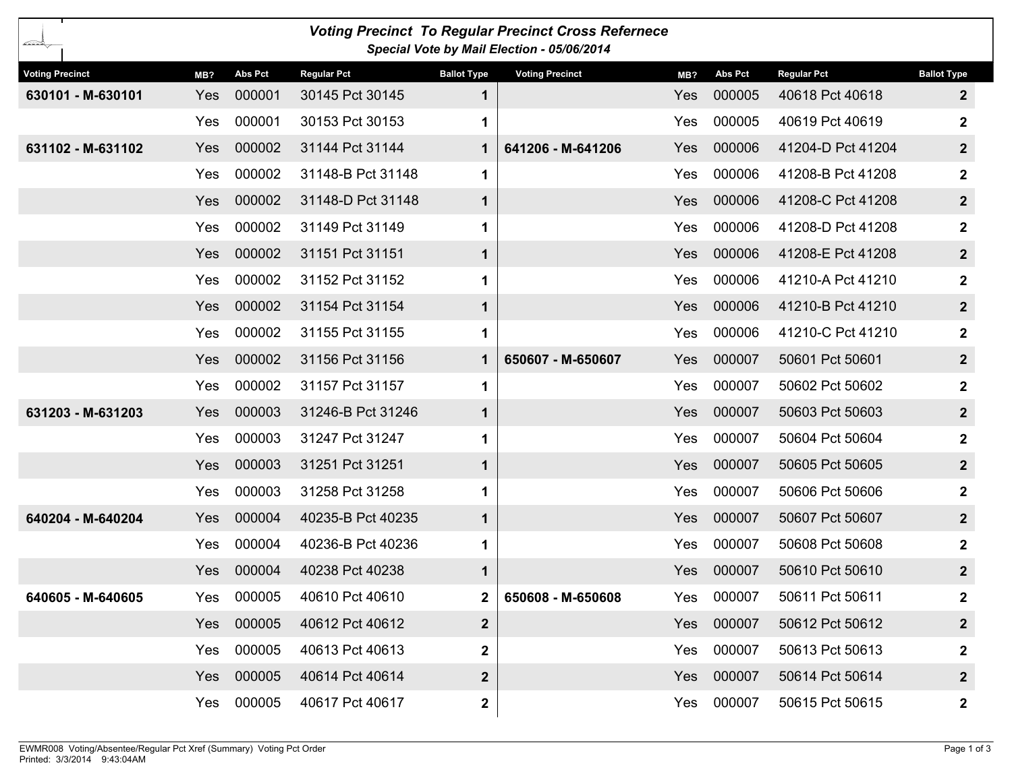| <b>Voting Precinct To Regular Precinct Cross Refernece</b><br>---<br>Special Vote by Mail Election - 05/06/2014 |     |                |                    |                    |                        |     |                |                    |                         |
|-----------------------------------------------------------------------------------------------------------------|-----|----------------|--------------------|--------------------|------------------------|-----|----------------|--------------------|-------------------------|
| <b>Voting Precinct</b>                                                                                          | MB? | <b>Abs Pct</b> | <b>Regular Pct</b> | <b>Ballot Type</b> | <b>Voting Precinct</b> | MB? | <b>Abs Pct</b> | <b>Regular Pct</b> | <b>Ballot Type</b>      |
| 630101 - M-630101                                                                                               | Yes | 000001         | 30145 Pct 30145    | 1                  |                        | Yes | 000005         | 40618 Pct 40618    | $\mathbf{2}$            |
|                                                                                                                 | Yes | 000001         | 30153 Pct 30153    | 1                  |                        | Yes | 000005         | 40619 Pct 40619    | $\boldsymbol{2}$        |
| 631102 - M-631102                                                                                               | Yes | 000002         | 31144 Pct 31144    | $\mathbf 1$        | 641206 - M-641206      | Yes | 000006         | 41204-D Pct 41204  | $\mathbf{2}$            |
|                                                                                                                 | Yes | 000002         | 31148-B Pct 31148  | 1                  |                        | Yes | 000006         | 41208-B Pct 41208  | $\boldsymbol{2}$        |
|                                                                                                                 | Yes | 000002         | 31148-D Pct 31148  | $\mathbf 1$        |                        | Yes | 000006         | 41208-C Pct 41208  | $\mathbf{2}$            |
|                                                                                                                 | Yes | 000002         | 31149 Pct 31149    | 1                  |                        | Yes | 000006         | 41208-D Pct 41208  | $\mathbf 2$             |
|                                                                                                                 | Yes | 000002         | 31151 Pct 31151    | $\mathbf 1$        |                        | Yes | 000006         | 41208-E Pct 41208  | $\mathbf{2}$            |
|                                                                                                                 | Yes | 000002         | 31152 Pct 31152    | 1                  |                        | Yes | 000006         | 41210-A Pct 41210  | $\mathbf{2}$            |
|                                                                                                                 | Yes | 000002         | 31154 Pct 31154    | $\mathbf 1$        |                        | Yes | 000006         | 41210-B Pct 41210  | $\overline{\mathbf{2}}$ |
|                                                                                                                 | Yes | 000002         | 31155 Pct 31155    | 1                  |                        | Yes | 000006         | 41210-C Pct 41210  | $\boldsymbol{2}$        |
|                                                                                                                 | Yes | 000002         | 31156 Pct 31156    | $\mathbf 1$        | 650607 - M-650607      | Yes | 000007         | 50601 Pct 50601    | $\mathbf{2}$            |
|                                                                                                                 | Yes | 000002         | 31157 Pct 31157    | 1                  |                        | Yes | 000007         | 50602 Pct 50602    | $\boldsymbol{2}$        |
| 631203 - M-631203                                                                                               | Yes | 000003         | 31246-B Pct 31246  | $\mathbf 1$        |                        | Yes | 000007         | 50603 Pct 50603    | $\mathbf{2}$            |
|                                                                                                                 | Yes | 000003         | 31247 Pct 31247    | 1                  |                        | Yes | 000007         | 50604 Pct 50604    | $\mathbf 2$             |
|                                                                                                                 | Yes | 000003         | 31251 Pct 31251    | $\mathbf 1$        |                        | Yes | 000007         | 50605 Pct 50605    | $\mathbf{2}$            |
|                                                                                                                 | Yes | 000003         | 31258 Pct 31258    | 1                  |                        | Yes | 000007         | 50606 Pct 50606    | $\mathbf 2$             |
| 640204 - M-640204                                                                                               | Yes | 000004         | 40235-B Pct 40235  | $\mathbf 1$        |                        | Yes | 000007         | 50607 Pct 50607    | $\mathbf{2}$            |
|                                                                                                                 | Yes | 000004         | 40236-B Pct 40236  | 1                  |                        | Yes | 000007         | 50608 Pct 50608    | $\mathbf{2}$            |
|                                                                                                                 | Yes | 000004         | 40238 Pct 40238    | $\mathbf 1$        |                        | Yes | 000007         | 50610 Pct 50610    | $\mathbf{2}$            |
| 640605 - M-640605                                                                                               | Yes | 000005         | 40610 Pct 40610    | $\mathbf{2}$       | 650608 - M-650608      | Yes | 000007         | 50611 Pct 50611    | $\mathbf{2}$            |
|                                                                                                                 | Yes | 000005         | 40612 Pct 40612    | $\boldsymbol{2}$   |                        | Yes | 000007         | 50612 Pct 50612    | $\mathbf{2}$            |
|                                                                                                                 | Yes | 000005         | 40613 Pct 40613    | $\mathbf 2$        |                        | Yes | 000007         | 50613 Pct 50613    | $\mathbf{2}$            |
|                                                                                                                 | Yes | 000005         | 40614 Pct 40614    | $\boldsymbol{2}$   |                        | Yes | 000007         | 50614 Pct 50614    | $\mathbf{2}$            |
|                                                                                                                 | Yes | 000005         | 40617 Pct 40617    | $\mathbf{2}$       |                        | Yes | 000007         | 50615 Pct 50615    | $\mathbf{2}$            |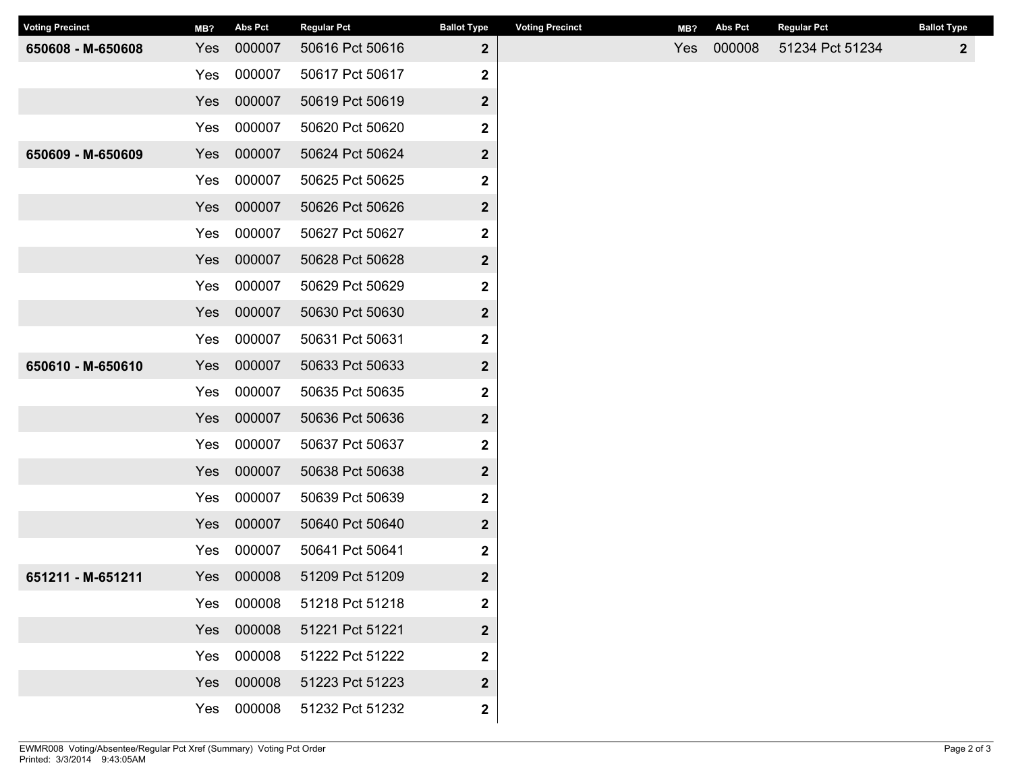| <b>Voting Precinct</b> | MB? | Abs Pct | <b>Regular Pct</b> | <b>Ballot Type</b>      | <b>Voting Precinct</b> | MB? | Abs Pct | <b>Regular Pct</b> | <b>Ballot Type</b> |
|------------------------|-----|---------|--------------------|-------------------------|------------------------|-----|---------|--------------------|--------------------|
| 650608 - M-650608      | Yes | 000007  | 50616 Pct 50616    | $\boldsymbol{2}$        |                        | Yes | 000008  | 51234 Pct 51234    | $\mathbf{2}$       |
|                        | Yes | 000007  | 50617 Pct 50617    | $\mathbf 2$             |                        |     |         |                    |                    |
|                        | Yes | 000007  | 50619 Pct 50619    | $\mathbf{2}$            |                        |     |         |                    |                    |
|                        | Yes | 000007  | 50620 Pct 50620    | $\overline{\mathbf{2}}$ |                        |     |         |                    |                    |
| 650609 - M-650609      | Yes | 000007  | 50624 Pct 50624    | $\mathbf{2}$            |                        |     |         |                    |                    |
|                        | Yes | 000007  | 50625 Pct 50625    | 2                       |                        |     |         |                    |                    |
|                        | Yes | 000007  | 50626 Pct 50626    | $\boldsymbol{2}$        |                        |     |         |                    |                    |
|                        | Yes | 000007  | 50627 Pct 50627    | 2                       |                        |     |         |                    |                    |
|                        | Yes | 000007  | 50628 Pct 50628    | $\boldsymbol{2}$        |                        |     |         |                    |                    |
|                        | Yes | 000007  | 50629 Pct 50629    | 2                       |                        |     |         |                    |                    |
|                        | Yes | 000007  | 50630 Pct 50630    | $\boldsymbol{2}$        |                        |     |         |                    |                    |
|                        | Yes | 000007  | 50631 Pct 50631    | $\mathbf 2$             |                        |     |         |                    |                    |
| 650610 - M-650610      | Yes | 000007  | 50633 Pct 50633    | $\overline{\mathbf{2}}$ |                        |     |         |                    |                    |
|                        | Yes | 000007  | 50635 Pct 50635    | $\overline{\mathbf{2}}$ |                        |     |         |                    |                    |
|                        | Yes | 000007  | 50636 Pct 50636    | $\overline{2}$          |                        |     |         |                    |                    |
|                        | Yes | 000007  | 50637 Pct 50637    | $\boldsymbol{2}$        |                        |     |         |                    |                    |
|                        | Yes | 000007  | 50638 Pct 50638    | $\boldsymbol{2}$        |                        |     |         |                    |                    |
|                        | Yes | 000007  | 50639 Pct 50639    | $\mathbf 2$             |                        |     |         |                    |                    |
|                        | Yes | 000007  | 50640 Pct 50640    | $\overline{\mathbf{2}}$ |                        |     |         |                    |                    |
|                        | Yes | 000007  | 50641 Pct 50641    | $\boldsymbol{2}$        |                        |     |         |                    |                    |
| 651211 - M-651211      | Yes | 000008  | 51209 Pct 51209    | $\boldsymbol{2}$        |                        |     |         |                    |                    |
|                        | Yes | 000008  | 51218 Pct 51218    | 2                       |                        |     |         |                    |                    |
|                        | Yes | 000008  | 51221 Pct 51221    | $\overline{\mathbf{2}}$ |                        |     |         |                    |                    |
|                        | Yes | 000008  | 51222 Pct 51222    | $\overline{\mathbf{2}}$ |                        |     |         |                    |                    |
|                        | Yes | 000008  | 51223 Pct 51223    | $\overline{\mathbf{2}}$ |                        |     |         |                    |                    |
|                        | Yes | 000008  | 51232 Pct 51232    | $\mathbf 2$             |                        |     |         |                    |                    |